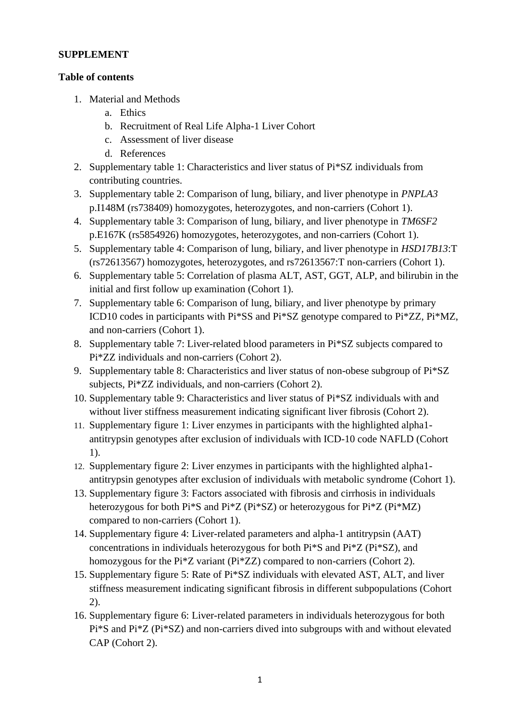## **SUPPLEMENT**

## **Table of contents**

- 1. Material and Methods
	- a. Ethics
	- b. Recruitment of Real Life Alpha-1 Liver Cohort
	- c. Assessment of liver disease
	- d. References
- 2. Supplementary table 1: Characteristics and liver status of Pi\*SZ individuals from contributing countries.
- 3. Supplementary table 2: Comparison of lung, biliary, and liver phenotype in *PNPLA3* p.I148M (rs738409) homozygotes, heterozygotes, and non-carriers (Cohort 1).
- 4. Supplementary table 3: Comparison of lung, biliary, and liver phenotype in *TM6SF2* p.E167K (rs5854926) homozygotes, heterozygotes, and non-carriers (Cohort 1).
- 5. Supplementary table 4: Comparison of lung, biliary, and liver phenotype in *HSD17B13*:T (rs72613567) homozygotes, heterozygotes, and rs72613567:T non-carriers (Cohort 1).
- 6. Supplementary table 5: Correlation of plasma ALT, AST, GGT, ALP, and bilirubin in the initial and first follow up examination (Cohort 1).
- 7. Supplementary table 6: Comparison of lung, biliary, and liver phenotype by primary ICD10 codes in participants with Pi\*SS and Pi\*SZ genotype compared to Pi\*ZZ, Pi\*MZ, and non-carriers (Cohort 1).
- 8. Supplementary table 7: Liver-related blood parameters in Pi\*SZ subjects compared to Pi\*ZZ individuals and non-carriers (Cohort 2).
- 9. Supplementary table 8: Characteristics and liver status of non-obese subgroup of Pi\*SZ subjects, Pi\*ZZ individuals, and non-carriers (Cohort 2).
- 10. Supplementary table 9: Characteristics and liver status of Pi\*SZ individuals with and without liver stiffness measurement indicating significant liver fibrosis (Cohort 2).
- 11. Supplementary figure 1: Liver enzymes in participants with the highlighted alpha1 antitrypsin genotypes after exclusion of individuals with ICD-10 code NAFLD (Cohort 1).
- 12. Supplementary figure 2: Liver enzymes in participants with the highlighted alpha1 antitrypsin genotypes after exclusion of individuals with metabolic syndrome (Cohort 1).
- 13. Supplementary figure 3: Factors associated with fibrosis and cirrhosis in individuals heterozygous for both Pi\*S and Pi\*Z (Pi\*SZ) or heterozygous for Pi\*Z (Pi\*MZ) compared to non-carriers (Cohort 1).
- 14. Supplementary figure 4: Liver-related parameters and alpha-1 antitrypsin (AAT) concentrations in individuals heterozygous for both Pi\*S and Pi\*Z (Pi\*SZ), and homozygous for the Pi\*Z variant (Pi\*ZZ) compared to non-carriers (Cohort 2).
- 15. Supplementary figure 5: Rate of Pi\*SZ individuals with elevated AST, ALT, and liver stiffness measurement indicating significant fibrosis in different subpopulations (Cohort 2).
- 16. Supplementary figure 6: Liver-related parameters in individuals heterozygous for both Pi\*S and Pi\*Z (Pi\*SZ) and non-carriers dived into subgroups with and without elevated CAP (Cohort 2).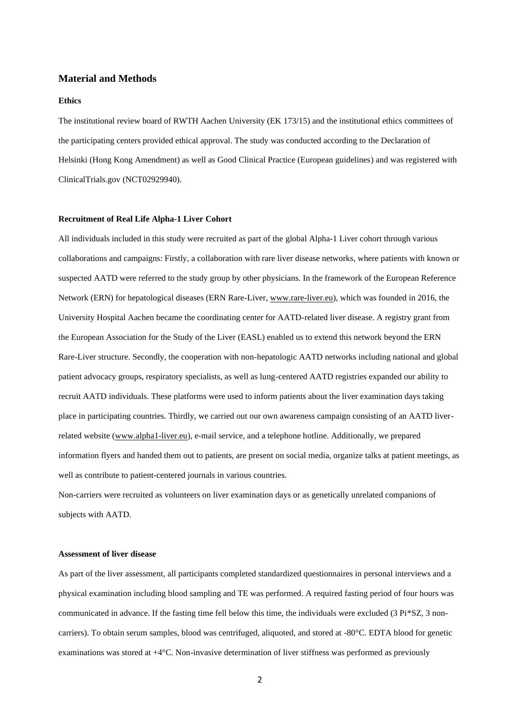### **Material and Methods**

#### **Ethics**

The institutional review board of RWTH Aachen University (EK 173/15) and the institutional ethics committees of the participating centers provided ethical approval. The study was conducted according to the Declaration of Helsinki (Hong Kong Amendment) as well as Good Clinical Practice (European guidelines) and was registered with ClinicalTrials.gov (NCT02929940).

### **Recruitment of Real Life Alpha-1 Liver Cohort**

All individuals included in this study were recruited as part of the global Alpha-1 Liver cohort through various collaborations and campaigns: Firstly, a collaboration with rare liver disease networks, where patients with known or suspected AATD were referred to the study group by other physicians. In the framework of the European Reference Network (ERN) for hepatological diseases (ERN Rare-Liver, [www.rare-liver.eu\)](http://www.rare-liver.eu/), which was founded in 2016, the University Hospital Aachen became the coordinating center for AATD-related liver disease. A registry grant from the European Association for the Study of the Liver (EASL) enabled us to extend this network beyond the ERN Rare-Liver structure. Secondly, the cooperation with non-hepatologic AATD networks including national and global patient advocacy groups, respiratory specialists, as well as lung-centered AATD registries expanded our ability to recruit AATD individuals. These platforms were used to inform patients about the liver examination days taking place in participating countries. Thirdly, we carried out our own awareness campaign consisting of an AATD liverrelated website [\(www.alpha1-liver.eu\)](http://www.alpha1-liver.eu/), e-mail service, and a telephone hotline. Additionally, we prepared information flyers and handed them out to patients, are present on social media, organize talks at patient meetings, as well as contribute to patient-centered journals in various countries.

Non-carriers were recruited as volunteers on liver examination days or as genetically unrelated companions of subjects with AATD.

#### **Assessment of liver disease**

As part of the liver assessment, all participants completed standardized questionnaires in personal interviews and a physical examination including blood sampling and TE was performed. A required fasting period of four hours was communicated in advance. If the fasting time fell below this time, the individuals were excluded (3 Pi\*SZ, 3 noncarriers). To obtain serum samples, blood was centrifuged, aliquoted, and stored at -80°C. EDTA blood for genetic examinations was stored at +4°C. Non-invasive determination of liver stiffness was performed as previously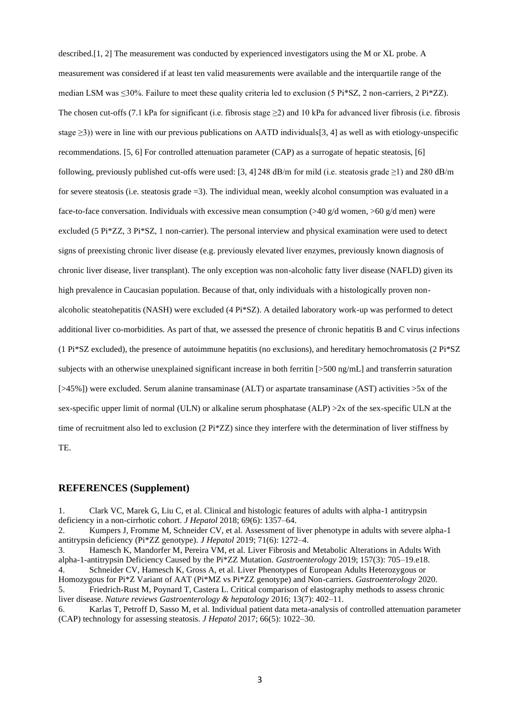described.[1, 2] The measurement was conducted by experienced investigators using the M or XL probe. A measurement was considered if at least ten valid measurements were available and the interquartile range of the median LSM was  $\leq$ 30%. Failure to meet these quality criteria led to exclusion (5 Pi\*SZ, 2 non-carriers, 2 Pi\*ZZ). The chosen cut-offs (7.1 kPa for significant (i.e. fibrosis stage  $\geq$ 2) and 10 kPa for advanced liver fibrosis (i.e. fibrosis stage  $\geq$ 3)) were in line with our previous publications on AATD individuals[3, 4] as well as with etiology-unspecific recommendations. [5, 6] For controlled attenuation parameter (CAP) as a surrogate of hepatic steatosis, [6] following, previously published cut-offs were used: [3, 4] 248 dB/m for mild (i.e. steatosis grade  $\geq$ 1) and 280 dB/m for severe steatosis (i.e. steatosis grade =3). The individual mean, weekly alcohol consumption was evaluated in a face-to-face conversation. Individuals with excessive mean consumption  $(>40 \text{ g/d}$  women,  $>60 \text{ g/d}$  men) were excluded (5 Pi\*ZZ, 3 Pi\*SZ, 1 non-carrier). The personal interview and physical examination were used to detect signs of preexisting chronic liver disease (e.g. previously elevated liver enzymes, previously known diagnosis of chronic liver disease, liver transplant). The only exception was non-alcoholic fatty liver disease (NAFLD) given its high prevalence in Caucasian population. Because of that, only individuals with a histologically proven nonalcoholic steatohepatitis (NASH) were excluded (4 Pi\*SZ). A detailed laboratory work-up was performed to detect additional liver co-morbidities. As part of that, we assessed the presence of chronic hepatitis B and C virus infections (1 Pi\*SZ excluded), the presence of autoimmune hepatitis (no exclusions), and hereditary hemochromatosis (2 Pi\*SZ subjects with an otherwise unexplained significant increase in both ferritin [>500 ng/mL] and transferrin saturation [>45%]) were excluded. Serum alanine transaminase (ALT) or aspartate transaminase (AST) activities >5x of the sex-specific upper limit of normal (ULN) or alkaline serum phosphatase (ALP) >2x of the sex-specific ULN at the time of recruitment also led to exclusion (2 Pi\*ZZ) since they interfere with the determination of liver stiffness by TE.

### **REFERENCES (Supplement)**

1. Clark VC, Marek G, Liu C, et al. Clinical and histologic features of adults with alpha-1 antitrypsin deficiency in a non-cirrhotic cohort. *J Hepatol* 2018; 69(6): 1357–64.

2. Kumpers J, Fromme M, Schneider CV, et al. Assessment of liver phenotype in adults with severe alpha-1 antitrypsin deficiency (Pi\*ZZ genotype). *J Hepatol* 2019; 71(6): 1272–4.

3. Hamesch K, Mandorfer M, Pereira VM, et al. Liver Fibrosis and Metabolic Alterations in Adults With alpha-1-antitrypsin Deficiency Caused by the Pi\*ZZ Mutation. *Gastroenterology* 2019; 157(3): 705–19.e18. 4. Schneider CV, Hamesch K, Gross A, et al. Liver Phenotypes of European Adults Heterozygous or Homozygous for Pi\*Z Variant of AAT (Pi\*MZ vs Pi\*ZZ genotype) and Non-carriers. *Gastroenterology* 2020. 5. Friedrich-Rust M, Poynard T, Castera L. Critical comparison of elastography methods to assess chronic liver disease. *Nature reviews Gastroenterology & hepatology* 2016; 13(7): 402–11.

6. Karlas T, Petroff D, Sasso M, et al. Individual patient data meta-analysis of controlled attenuation parameter (CAP) technology for assessing steatosis. *J Hepatol* 2017; 66(5): 1022–30.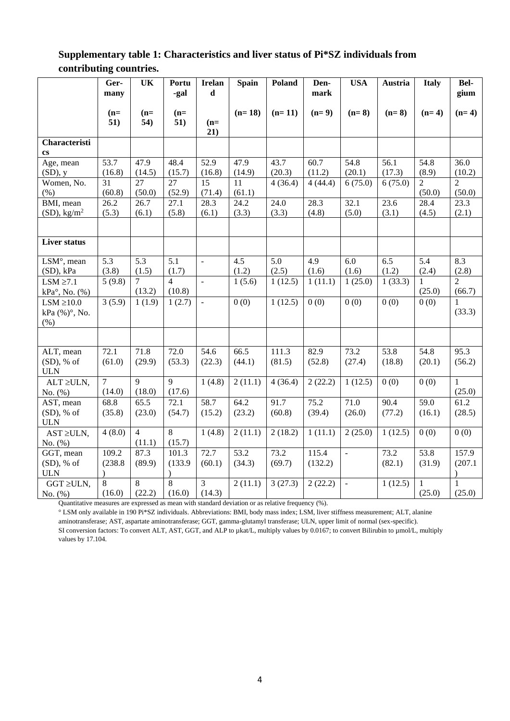# **Supplementary table 1: Characteristics and liver status of Pi\*SZ individuals from contributing countries.**

|                                     | Ger-             | UK             | Portu            | <b>Irelan</b>  | <b>Spain</b> | Poland          | Den-           | <b>USA</b>     | Austria        | <b>Italy</b>   | Bel-             |
|-------------------------------------|------------------|----------------|------------------|----------------|--------------|-----------------|----------------|----------------|----------------|----------------|------------------|
|                                     | many             |                | -gal             | $\mathbf d$    |              |                 | mark           |                |                |                | gium             |
|                                     | $(n=$            | $(n=$          | $(n=$            |                | $(n=18)$     | $(n=11)$        | $(n=9)$        | $(n=8)$        | $(n=8)$        | $(n=4)$        | $(n=4)$          |
|                                     | 51)              | 54)            | 51)              | $(n=$          |              |                 |                |                |                |                |                  |
|                                     |                  |                |                  | 21)            |              |                 |                |                |                |                |                  |
| Characteristi                       |                  |                |                  |                |              |                 |                |                |                |                |                  |
| $\mathbf{c}\mathbf{s}$<br>Age, mean | 53.7             | 47.9           | 48.4             | 52.9           | 47.9         | 43.7            | 60.7           | 54.8           | 56.1           | 54.8           | 36.0             |
| $(SD)$ , y                          | (16.8)           | (14.5)         | (15.7)           | (16.8)         | (14.9)       | (20.3)          | (11.2)         | (20.1)         | (17.3)         | (8.9)          | (10.2)           |
| Women, No.                          | 31               | 27             | 27               | 15             | 11           | 4(36.4)         | 4(44.4)        | 6(75.0)        | 6(75.0)        | $\overline{2}$ | $\overline{2}$   |
| (% )                                | (60.8)           | (50.0)         | (52.9)           | (71.4)         | (61.1)       |                 |                |                |                | (50.0)         | (50.0)           |
| BMI, mean                           | 26.2             | 26.7           | 27.1             | 28.3           | 24.2         | 24.0            | 28.3           | 32.1           | 23.6           | 28.4           | 23.3             |
| $(SD)$ , kg/m <sup>2</sup>          | (5.3)            | (6.1)          | (5.8)            | (6.1)          | (3.3)        | (3.3)           | (4.8)          | (5.0)          | (3.1)          | (4.5)          | (2.1)            |
|                                     |                  |                |                  |                |              |                 |                |                |                |                |                  |
| <b>Liver status</b>                 |                  |                |                  |                |              |                 |                |                |                |                |                  |
|                                     |                  |                |                  |                |              |                 |                |                |                |                |                  |
| LSM°, mean<br>(SD), kPa             | 5.3<br>(3.8)     | 5.3<br>(1.5)   | 5.1<br>(1.7)     | $\mathcal{L}$  | 4.5<br>(1.2) | 5.0<br>(2.5)    | 4.9<br>(1.6)   | 6.0<br>(1.6)   | 6.5<br>(1.2)   | 5.4<br>(2.4)   | 8.3<br>(2.8)     |
| $LSM \geq 7.1$                      | 5(9.8)           | $\overline{7}$ | $\overline{4}$   | $\blacksquare$ | 1(5.6)       | 1(12.5)         | 1(11.1)        | 1(25.0)        | 1(33.3)        | $\mathbf{1}$   | $\overline{2}$   |
| $kPa^{\circ}$ , No. $(\%)$          |                  | (13.2)         | (10.8)           |                |              |                 |                |                |                | (25.0)         | (66.7)           |
| $LSM \ge 10.0$                      | 3(5.9)           | 1(1.9)         | 1(2.7)           | $\mathbf{r}$   | 0(0)         | 1(12.5)         | 0(0)           | 0(0)           | 0(0)           | 0(0)           | $\mathbf{1}$     |
| kPa (%)°, No.                       |                  |                |                  |                |              |                 |                |                |                |                | (33.3)           |
| $(\% )$                             |                  |                |                  |                |              |                 |                |                |                |                |                  |
|                                     |                  |                |                  |                |              |                 |                |                |                |                |                  |
|                                     |                  |                |                  |                | 66.5         |                 |                |                |                |                | 95.3             |
| ALT, mean<br>$(SD)$ , % of          | 72.1<br>(61.0)   | 71.8<br>(29.9) | 72.0<br>(53.3)   | 54.6<br>(22.3) | (44.1)       | 111.3<br>(81.5) | 82.9<br>(52.8) | 73.2<br>(27.4) | 53.8<br>(18.8) | 54.8<br>(20.1) | (56.2)           |
| <b>ULN</b>                          |                  |                |                  |                |              |                 |                |                |                |                |                  |
| ALT ≥ULN,                           | $\overline{7}$   | $\overline{9}$ | $\overline{9}$   | 1(4.8)         | 2(11.1)      | 4(36.4)         | 2(22.2)        | 1(12.5)        | 0(0)           | 0(0)           | $\mathbf{1}$     |
| No. (%)                             | (14.0)           | (18.0)         | (17.6)           |                |              |                 |                |                |                |                | (25.0)           |
| AST, mean                           | 68.8             | 65.5           | 72.1             | 58.7           | 64.2         | 91.7            | 75.2           | 71.0           | 90.4           | 59.0           | 61.2             |
| $(SD)$ , % of                       | (35.8)           | (23.0)         | (54.7)           | (15.2)         | (23.2)       | (60.8)          | (39.4)         | (26.0)         | (77.2)         | (16.1)         | (28.5)           |
| <b>ULN</b>                          |                  |                |                  |                |              |                 |                |                |                |                |                  |
| $AST \geq ULN$ ,                    | 4(8.0)           | $\overline{4}$ | $\overline{8}$   | 1(4.8)         | 2(11.1)      | 2(18.2)         | 1(11.1)        | 2(25.0)        | 1(12.5)        | 0(0)           | 0(0)             |
| No. (%)                             |                  | (11.1)         | (15.7)           |                |              |                 |                |                |                |                |                  |
| GGT, mean                           | 109.2<br>(238.8) | 87.3<br>(89.9) | 101.3<br>(133.9) | 72.7<br>(60.1) | 53.2         | 73.2<br>(69.7)  | 115.4          | $\overline{a}$ | 73.2           | 53.8<br>(31.9) | 157.9<br>(207.1) |
| $(SD)$ , % of<br><b>ULN</b>         |                  |                | $\lambda$        |                | (34.3)       |                 | (132.2)        |                | (82.1)         |                | $\lambda$        |
| GGT ≥ULN,                           | 8                | 8              | 8                | $\overline{3}$ | 2(11.1)      | 3(27.3)         | 2(22.2)        | $\omega$       | 1(12.5)        | $\mathbf{1}$   | $\mathbf{1}$     |
| No. (%)                             | (16.0)           | (22.2)         | (16.0)           | (14.3)         |              |                 |                |                |                | (25.0)         | (25.0)           |

Quantitative measures are expressed as mean with standard deviation or as relative frequency (%).

° LSM only available in 190 Pi\*SZ individuals. Abbreviations: BMI, body mass index; LSM, liver stiffness measurement; ALT, alanine aminotransferase; AST, aspartate aminotransferase; GGT, gamma-glutamyl transferase; ULN, upper limit of normal (sex-specific). SI conversion factors: To convert ALT, AST, GGT, and ALP to  $\mu$ kat/L, multiply values by 0.0167; to convert Bilirubin to  $\mu$ mol/L, multiply values by 17.104.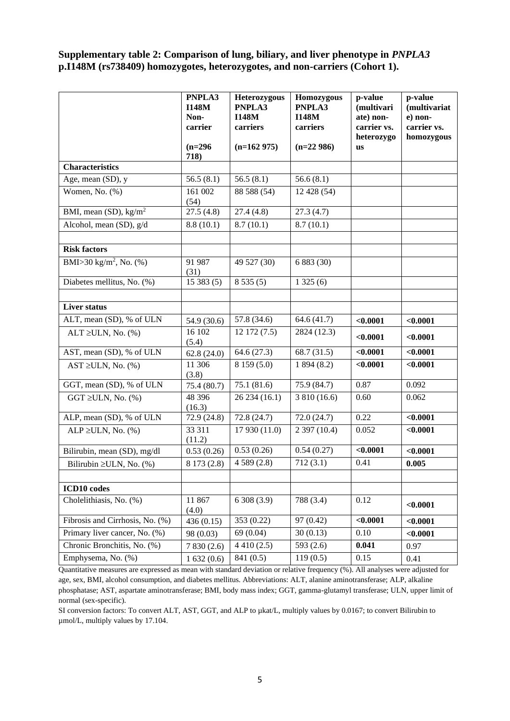**Supplementary table 2: Comparison of lung, biliary, and liver phenotype in** *PNPLA3* **p.I148M (rs738409) homozygotes, heterozygotes, and non-carriers (Cohort 1).**

|                                        | PNPLA3<br><b>I148M</b><br>Non-<br>carrier | Heterozygous<br>PNPLA3<br><b>I148M</b><br>carriers | Homozygous<br>PNPLA3<br><b>I148M</b><br>carriers | p-value<br>(multivari<br>ate) non-<br>carrier vs.<br>heterozygo | p-value<br>(multivariat<br>e) non-<br>carrier vs.<br>homozygous |
|----------------------------------------|-------------------------------------------|----------------------------------------------------|--------------------------------------------------|-----------------------------------------------------------------|-----------------------------------------------------------------|
|                                        | $(n=296)$<br>718)                         | $(n=162975)$                                       | $(n=22986)$                                      | <b>us</b>                                                       |                                                                 |
| <b>Characteristics</b>                 |                                           |                                                    |                                                  |                                                                 |                                                                 |
| Age, mean (SD), y                      | 56.5(8.1)                                 | 56.5(8.1)                                          | 56.6(8.1)                                        |                                                                 |                                                                 |
| Women, No. $(\%)$                      | 161 002<br>(54)                           | 88 588 (54)                                        | $12\overline{4}28(54)$                           |                                                                 |                                                                 |
| BMI, mean (SD), $kg/m2$                | 27.5(4.8)                                 | 27.4(4.8)                                          | 27.3(4.7)                                        |                                                                 |                                                                 |
| Alcohol, mean (SD), g/d                | 8.8(10.1)                                 | 8.7(10.1)                                          | 8.7(10.1)                                        |                                                                 |                                                                 |
| <b>Risk factors</b>                    |                                           |                                                    |                                                  |                                                                 |                                                                 |
| BMI>30 kg/m <sup>2</sup> , No. $(\% )$ | 91 987<br>(31)                            | 49 527 (30)                                        | 6 883 (30)                                       |                                                                 |                                                                 |
| Diabetes mellitus, No. (%)             | 15383(5)                                  | 8535(5)                                            | 1325(6)                                          |                                                                 |                                                                 |
| <b>Liver status</b>                    |                                           |                                                    |                                                  |                                                                 |                                                                 |
| ALT, mean (SD), % of ULN               | 54.9 (30.6)                               | 57.8 (34.6)                                        | 64.6(41.7)                                       | < 0.0001                                                        | < 0.0001                                                        |
| $ALT \geq ULN$ , No. $(\%)$            | 16 102<br>(5.4)                           | 12172(7.5)                                         | 2824 (12.3)                                      | < 0.0001                                                        | < 0.0001                                                        |
| AST, mean (SD), % of ULN               | 62.8(24.0)                                | 64.6(27.3)                                         | 68.7 (31.5)                                      | < 0.0001                                                        | < 0.0001                                                        |
| $AST \geq ULN$ , No. (%)               | 11 306<br>(3.8)                           | 8 159 (5.0)                                        | 1894(8.2)                                        | < 0.0001                                                        | < 0.0001                                                        |
| GGT, mean (SD), % of ULN               | 75.4 (80.7)                               | 75.1(81.6)                                         | 75.9 (84.7)                                      | 0.87                                                            | 0.092                                                           |
| GGT $\geq$ ULN, No. (%)                | 48 39 6<br>(16.3)                         | 26 234 (16.1)                                      | 3 810 (16.6)                                     | 0.60                                                            | 0.062                                                           |
| ALP, mean (SD), % of ULN               | 72.9 (24.8)                               | 72.8 (24.7)                                        | 72.0 (24.7)                                      | 0.22                                                            | < 0.0001                                                        |
| ALP $\geq$ ULN, No. (%)                | 33 311<br>(11.2)                          | 17 930 (11.0)                                      | 2 397 (10.4)                                     | 0.052                                                           | < 0.0001                                                        |
| Bilirubin, mean (SD), mg/dl            | 0.53(0.26)                                | 0.53(0.26)                                         | 0.54(0.27)                                       | < 0.0001                                                        | < 0.0001                                                        |
| Bilirubin $\geq$ ULN, No. (%)          | 8 173 (2.8)                               | 4589(2.8)                                          | 712(3.1)                                         | 0.41                                                            | 0.005                                                           |
|                                        |                                           |                                                    |                                                  |                                                                 |                                                                 |
| <b>ICD10</b> codes                     |                                           |                                                    |                                                  |                                                                 |                                                                 |
| Cholelithiasis, No. (%)                | 11 867<br>(4.0)                           | 6308(3.9)                                          | 788 (3.4)                                        | 0.12                                                            | < 0.0001                                                        |
| Fibrosis and Cirrhosis, No. (%)        | 436(0.15)                                 | 353 (0.22)                                         | 97 (0.42)                                        | < 0.0001                                                        | < 0.0001                                                        |
| Primary liver cancer, No. (%)          | 98 (0.03)                                 | 69 (0.04)                                          | 30(0.13)                                         | 0.10                                                            | < 0.0001                                                        |
| Chronic Bronchitis, No. (%)            | 7830(2.6)                                 | 4410(2.5)                                          | 593 $(2.6)$                                      | 0.041                                                           | 0.97                                                            |
| Emphysema, No. (%)                     | 1632(0.6)                                 | 841 (0.5)                                          | 119(0.5)                                         | 0.15                                                            | 0.41                                                            |

Quantitative measures are expressed as mean with standard deviation or relative frequency (%). All analyses were adjusted for age, sex, BMI, alcohol consumption, and diabetes mellitus. Abbreviations: ALT, alanine aminotransferase; ALP, alkaline phosphatase; AST, aspartate aminotransferase; BMI, body mass index; GGT, gamma-glutamyl transferase; ULN, upper limit of normal (sex-specific).

SI conversion factors: To convert ALT, AST, GGT, and ALP to µkat/L, multiply values by 0.0167; to convert Bilirubin to µmol/L, multiply values by 17.104.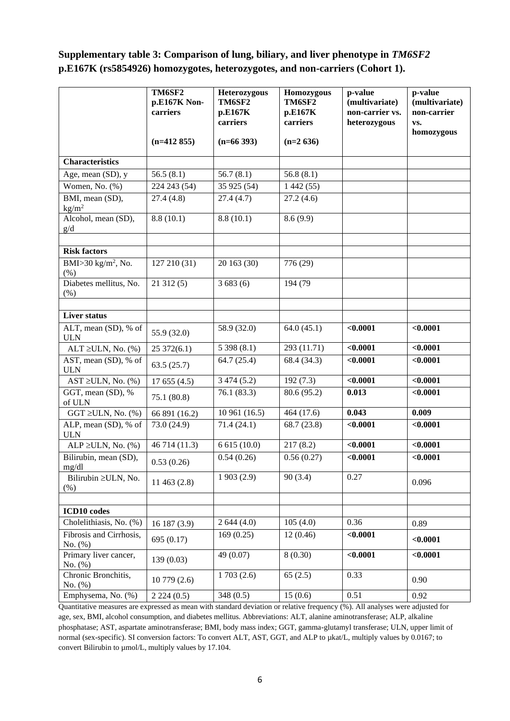**Supplementary table 3: Comparison of lung, biliary, and liver phenotype in** *TM6SF2* **p.E167K (rs5854926) homozygotes, heterozygotes, and non-carriers (Cohort 1).** 

|                                            | <b>TM6SF2</b><br>p.E167K Non-<br>carriers<br>$(n=412 855)$ | Heterozygous<br>TM6SF2<br>p.E167K<br>carriers<br>$(n=66393)$ | Homozygous<br>TM6SF2<br>p.E167K<br>carriers<br>$(n=2636)$ | p-value<br>(multivariate)<br>non-carrier vs.<br>heterozygous | p-value<br>(multivariate)<br>non-carrier<br>VS.<br>homozygous |
|--------------------------------------------|------------------------------------------------------------|--------------------------------------------------------------|-----------------------------------------------------------|--------------------------------------------------------------|---------------------------------------------------------------|
| <b>Characteristics</b>                     |                                                            |                                                              |                                                           |                                                              |                                                               |
| Age, mean (SD), y                          | 56.5(8.1)                                                  | 56.7(8.1)                                                    | 56.8(8.1)                                                 |                                                              |                                                               |
| Women, No. $(\%)$                          | 224 243 (54)                                               | 35 925 (54)                                                  | 1442(55)                                                  |                                                              |                                                               |
| BMI, mean (SD),<br>$\text{kg/m}^2$         | 27.4(4.8)                                                  | 27.4(4.7)                                                    | 27.2(4.6)                                                 |                                                              |                                                               |
| Alcohol, mean (SD),<br>g/d                 | 8.8(10.1)                                                  | 8.8(10.1)                                                    | 8.6(9.9)                                                  |                                                              |                                                               |
|                                            |                                                            |                                                              |                                                           |                                                              |                                                               |
| <b>Risk factors</b>                        |                                                            |                                                              |                                                           |                                                              |                                                               |
| BMI $>$ 30 kg/m <sup>2</sup> , No.<br>(% ) | 127 210 (31)                                               | 20 163 (30)                                                  | 776 (29)                                                  |                                                              |                                                               |
| Diabetes mellitus, No.                     | 21312(5)                                                   | 3683(6)                                                      | 194 (79)                                                  |                                                              |                                                               |
| (% )                                       |                                                            |                                                              |                                                           |                                                              |                                                               |
| <b>Liver status</b>                        |                                                            |                                                              |                                                           |                                                              |                                                               |
| ALT, mean (SD), % of<br>$ULN$              | 55.9 (32.0)                                                | 58.9 (32.0)                                                  | 64.0(45.1)                                                | < 0.0001                                                     | < 0.0001                                                      |
| ALT $\geq$ ULN, No. (%)                    | 25372(6.1)                                                 | 5398(8.1)                                                    | 293 (11.71)                                               | < 0.0001                                                     | < 0.0001                                                      |
| AST, mean (SD), % of<br><b>ULN</b>         | 63.5(25.7)                                                 | 64.7(25.4)                                                   | 68.4 (34.3)                                               | < 0.0001                                                     | < 0.0001                                                      |
| $AST \geq ULN$ , No. $(\% )$               | 17655(4.5)                                                 | 3474(5.2)                                                    | 192(7.3)                                                  | < 0.0001                                                     | < 0.0001                                                      |
| GGT, mean (SD), %<br>of ULN                | 75.1 (80.8)                                                | 76.1(83.3)                                                   | 80.6 (95.2)                                               | 0.013                                                        | < 0.0001                                                      |
| $GGT \geq ULN$ , No. $(\%)$                | 66 891 (16.2)                                              | 10 961 (16.5)                                                | 464 (17.6)                                                | 0.043                                                        | 0.009                                                         |
| ALP, mean (SD), % of<br><b>ULN</b>         | 73.0 (24.9)                                                | 71.4(24.1)                                                   | 68.7 (23.8)                                               | < 0.0001                                                     | < 0.0001                                                      |
| ALP $\geq$ ULN, No. (%)                    | 46 714 (11.3)                                              | 6615(10.0)                                                   | 217(8.2)                                                  | < 0.0001                                                     | < 0.0001                                                      |
| Bilirubin, mean (SD),<br>$m\text{g}/d$ l   | 0.53(0.26)                                                 | 0.54(0.26)                                                   | 0.56(0.27)                                                | < 0.0001                                                     | < 0.0001                                                      |
| Bilirubin ≥ULN, No.<br>(%)                 | 11463(2.8)                                                 | 1903(2.9)                                                    | 90(3.4)                                                   | 0.27                                                         | 0.096                                                         |
|                                            |                                                            |                                                              |                                                           |                                                              |                                                               |
| <b>ICD10</b> codes                         |                                                            |                                                              |                                                           |                                                              |                                                               |
| Cholelithiasis, No. (%)                    | 16 187 (3.9)                                               | 2644(4.0)                                                    | 105(4.0)                                                  | 0.36                                                         | 0.89                                                          |
| Fibrosis and Cirrhosis,<br>No. (%)         | 695 (0.17)                                                 | 169(0.25)                                                    | 12(0.46)                                                  | < 0.0001                                                     | < 0.0001                                                      |
| Primary liver cancer,<br>No. (%)           | 139 (0.03)                                                 | 49 (0.07)                                                    | 8(0.30)                                                   | < 0.0001                                                     | < 0.0001                                                      |
| Chronic Bronchitis,<br>No. (%)             | 10779(2.6)                                                 | 1703(2.6)                                                    | 65(2.5)                                                   | 0.33                                                         | 0.90                                                          |
| Emphysema, No. (%)                         | 2224(0.5)                                                  | 348 $(0.5)$                                                  | 15(0.6)                                                   | 0.51                                                         | 0.92                                                          |

Quantitative measures are expressed as mean with standard deviation or relative frequency (%). All analyses were adjusted for age, sex, BMI, alcohol consumption, and diabetes mellitus. Abbreviations: ALT, alanine aminotransferase; ALP, alkaline phosphatase; AST, aspartate aminotransferase; BMI, body mass index; GGT, gamma-glutamyl transferase; ULN, upper limit of normal (sex-specific). SI conversion factors: To convert ALT, AST, GGT, and ALP to µkat/L, multiply values by 0.0167; to convert Bilirubin to  $\mu$ mol/L, multiply values by 17.104.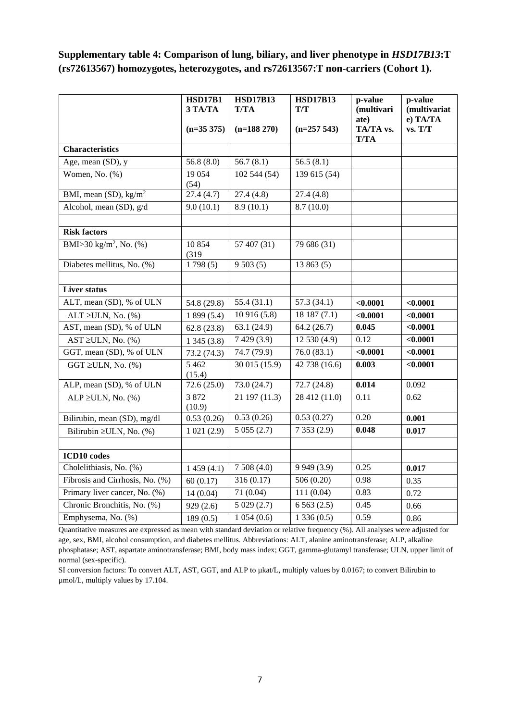**Supplementary table 4: Comparison of lung, biliary, and liver phenotype in** *HSD17B13***:T (rs72613567) homozygotes, heterozygotes, and rs72613567:T non-carriers (Cohort 1).** 

|                                        | <b>HSD17B1</b><br>3 TA/TA<br>$(n=35375)$ | <b>HSD17B13</b><br><b>T/TA</b><br>$(n=188 270)$ | <b>HSD17B13</b><br>T/T<br>$(n=257543)$ | p-value<br>(multivari<br>ate)<br>TA/TA vs. | p-value<br>(multivariat<br>e) TA/TA<br>vs. T/T |
|----------------------------------------|------------------------------------------|-------------------------------------------------|----------------------------------------|--------------------------------------------|------------------------------------------------|
| <b>Characteristics</b>                 |                                          |                                                 |                                        | <b>T/TA</b>                                |                                                |
| Age, mean (SD), y                      | 56.8(8.0)                                | 56.7(8.1)                                       | 56.5(8.1)                              |                                            |                                                |
| Women, No. (%)                         | 19 054                                   | 102 544 (54)                                    | 139 615 (54)                           |                                            |                                                |
|                                        | (54)                                     |                                                 |                                        |                                            |                                                |
| BMI, mean (SD), $\text{kg/m}^2$        | 27.4(4.7)                                | 27.4(4.8)                                       | 27.4(4.8)                              |                                            |                                                |
| Alcohol, mean (SD), g/d                | 9.0(10.1)                                | 8.9(10.1)                                       | 8.7(10.0)                              |                                            |                                                |
| <b>Risk factors</b>                    |                                          |                                                 |                                        |                                            |                                                |
| BMI>30 kg/m <sup>2</sup> , No. $(\% )$ | 10 854<br>(319)                          | 57 407 (31)                                     | 79 686 (31)                            |                                            |                                                |
| Diabetes mellitus, No. (%)             | 1798(5)                                  | 9503(5)                                         | 13 863 (5)                             |                                            |                                                |
|                                        |                                          |                                                 |                                        |                                            |                                                |
| <b>Liver status</b>                    |                                          |                                                 |                                        |                                            |                                                |
| ALT, mean (SD), % of ULN               | 54.8 (29.8)                              | 55.4(31.1)                                      | 57.3(34.1)                             | < 0.0001                                   | < 0.0001                                       |
| $ALT \geq ULN$ , No. (%)               | 1899(5.4)                                | 10916(5.8)                                      | 18 187 (7.1)                           | < 0.0001                                   | < 0.0001                                       |
| AST, mean (SD), % of ULN               | 62.8(23.8)                               | 63.1 $(24.9)$                                   | 64.2(26.7)                             | 0.045                                      | < 0.0001                                       |
| $AST \geq ULN$ , No. $(\% )$           | 1345(3.8)                                | 7429(3.9)                                       | 12 530 (4.9)                           | 0.12                                       | < 0.0001                                       |
| GGT, mean (SD), % of ULN               | 73.2 (74.3)                              | 74.7 (79.9)                                     | 76.0(83.1)                             | < 0.0001                                   | < 0.0001                                       |
| $GGT \geq ULN$ , No. $(\%)$            | 5 4 6 2<br>(15.4)                        | 30 015 (15.9)                                   | 42 738 (16.6)                          | 0.003                                      | < 0.0001                                       |
| ALP, mean (SD), % of ULN               | 72.6(25.0)                               | 73.0 (24.7)                                     | 72.7(24.8)                             | 0.014                                      | 0.092                                          |
| $ALP \geq ULN$ , No. (%)               | 3872<br>(10.9)                           | 21 197 (11.3)                                   | 28 412 (11.0)                          | 0.11                                       | 0.62                                           |
| Bilirubin, mean (SD), mg/dl            | 0.53(0.26)                               | 0.53(0.26)                                      | 0.53(0.27)                             | 0.20                                       | 0.001                                          |
| Bilirubin ≥ULN, No. (%)                | 1021(2.9)                                | 5055(2.7)                                       | 7353(2.9)                              | 0.048                                      | 0.017                                          |
|                                        |                                          |                                                 |                                        |                                            |                                                |
| <b>ICD10</b> codes                     |                                          |                                                 |                                        |                                            |                                                |
| Cholelithiasis, No. (%)                | 1459(4.1)                                | 7508(4.0)                                       | 9 9 4 9 (3.9)                          | 0.25                                       | 0.017                                          |
| Fibrosis and Cirrhosis, No. (%)        | 60(0.17)                                 | 316(0.17)                                       | 506(0.20)                              | 0.98                                       | 0.35                                           |
| Primary liver cancer, No. (%)          | 14(0.04)                                 | 71 (0.04)                                       | 111(0.04)                              | 0.83                                       | 0.72                                           |
| Chronic Bronchitis, No. (%)            | 929(2.6)                                 | 5029(2.7)                                       | 6563(2.5)                              | 0.45                                       | 0.66                                           |
| Emphysema, No. (%)                     | 189(0.5)                                 | 1054(0.6)                                       | 1336(0.5)                              | 0.59                                       | 0.86                                           |

Quantitative measures are expressed as mean with standard deviation or relative frequency (%). All analyses were adjusted for age, sex, BMI, alcohol consumption, and diabetes mellitus. Abbreviations: ALT, alanine aminotransferase; ALP, alkaline phosphatase; AST, aspartate aminotransferase; BMI, body mass index; GGT, gamma-glutamyl transferase; ULN, upper limit of normal (sex-specific).

SI conversion factors: To convert ALT, AST, GGT, and ALP to µkat/L, multiply values by 0.0167; to convert Bilirubin to µmol/L, multiply values by 17.104.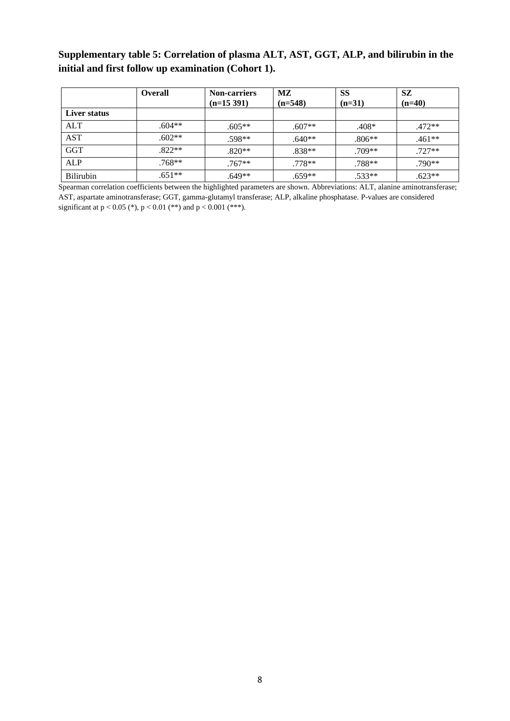## **Supplementary table 5: Correlation of plasma ALT, AST, GGT, ALP, and bilirubin in the initial and first follow up examination (Cohort 1).**

|                  | <b>Overall</b> | <b>Non-carriers</b><br>$(n=15391)$ | MZ.<br>$(n=548)$ | <b>SS</b><br>$(n=31)$ | SZ<br>$(n=40)$ |
|------------------|----------------|------------------------------------|------------------|-----------------------|----------------|
| Liver status     |                |                                    |                  |                       |                |
| <b>ALT</b>       | $.604**$       | $.605**$                           | $.607**$         | .408*                 | $.472**$       |
| <b>AST</b>       | $.602**$       | $.598**$                           | $.640**$         | $.806**$              | $.461**$       |
| <b>GGT</b>       | $.822**$       | $.820**$                           | $.838**$         | $.709**$              | $.727**$       |
| ALP              | $.768**$       | $.767**$                           | $.778**$         | $.788**$              | $.790**$       |
| <b>Bilirubin</b> | $.651**$       | .649**                             | $.659**$         | $.533**$              | $.623**$       |

Spearman correlation coefficients between the highlighted parameters are shown. Abbreviations: ALT, alanine aminotransferase; AST, aspartate aminotransferase; GGT, gamma-glutamyl transferase; ALP, alkaline phosphatase. P-values are considered significant at  $p < 0.05$  (\*),  $p < 0.01$  (\*\*) and  $p < 0.001$  (\*\*\*).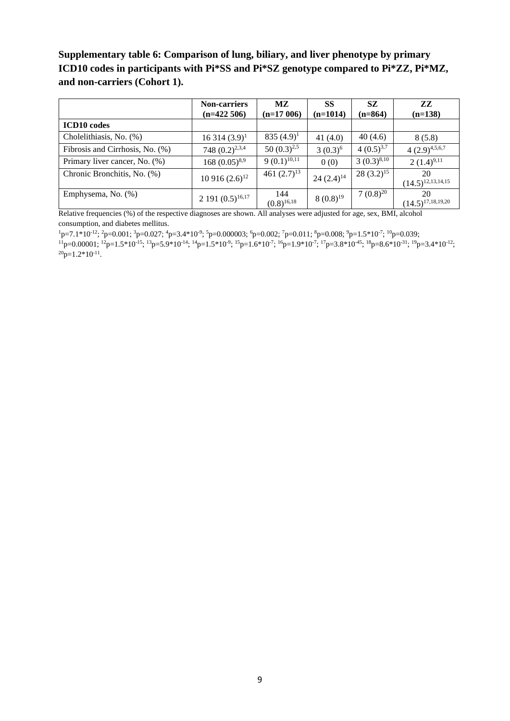**Supplementary table 6: Comparison of lung, biliary, and liver phenotype by primary ICD10 codes in participants with Pi\*SS and Pi\*SZ genotype compared to Pi\*ZZ, Pi\*MZ, and non-carriers (Cohort 1).** 

|                                 | <b>Non-carriers</b>   | МZ                     | <b>SS</b>      | SZ.             | ZZ                           |
|---------------------------------|-----------------------|------------------------|----------------|-----------------|------------------------------|
|                                 | $(n=422506)$          | $(n=17006)$            | $(n=1014)$     | $(n=864)$       | $(n=138)$                    |
| <b>ICD10</b> codes              |                       |                        |                |                 |                              |
| Cholelithiasis, No. (%)         | $16314(3.9)^1$        | 835 $(4.9)^1$          | 41 $(4.0)$     | 40(4.6)         | 8(5.8)                       |
| Fibrosis and Cirrhosis, No. (%) | 748 $(0.2)^{2,3,4}$   | 50 $(0.3)^{2,5}$       | $3(0.3)^6$     | $4(0.5)^{3,7}$  | $4(2.9)^{4,5,6,7}$           |
| Primary liver cancer, No. (%)   | $168 (0.05)^{8.9}$    | $9(0.1)^{10,11}$       | 0(0)           | $3(0.3)^{8,10}$ | $2(1.4)^{9,11}$              |
| Chronic Bronchitis, No. (%)     | $10916(2.6)^{12}$     | 461 $(2.7)^{13}$       | $24(2.4)^{14}$ | $28(3.2)^{15}$  | 20<br>$(14.5)^{12,13,14,15}$ |
| Emphysema, No. (%)              | 2 191 $(0.5)^{16,17}$ | 144<br>$(0.8)^{16,18}$ | $8(0.8)^{19}$  | $7(0.8)^{20}$   | 20<br>$(14.5)^{17,18,19,20}$ |

Relative frequencies (%) of the respective diagnoses are shown. All analyses were adjusted for age, sex, BMI, alcohol consumption, and diabetes mellitus.

 $1-p=7.1*10^{-12}$ ;  $2p=0.001$ ;  $3p=0.027$ ;  $4p=3.4*10^{-9}$ ;  $5p=0.000003$ ;  $6p=0.002$ ;  $7p=0.011$ ;  $8p=0.008$ ;  $9p=1.5*10^{-7}$ ;  $10p=0.039$ ;  $11p=0.00001; 12p=1.5*10<sup>-15</sup>; 13p=5.9*10<sup>-14</sup>; 14p=1.5*10<sup>-9</sup>; 15p=1.6*10<sup>-7</sup>; 16p=1.9*10<sup>-7</sup>; 17p=3.8*10<sup>-45</sup>; 18p=8.6*10<sup>-31</sup>; 19p=3.4*10<sup>-12</sup>; 19p=3.6*10<sup>-13</sup>; 19p=3.6*10<sup>-13</sup>; 19p=3.6*10<sup>-13</sup>; 1$  $^{20}p=1.2*10^{-11}$ .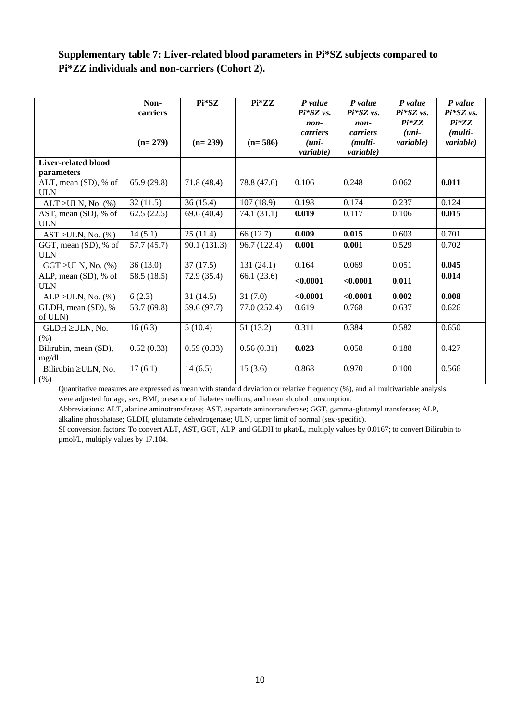# **Supplementary table 7: Liver-related blood parameters in Pi\*SZ subjects compared to Pi\*ZZ individuals and non-carriers (Cohort 2).**

|                                    | Non-<br>carriers | Pi*SZ       | $Pi*ZZ$      | P value<br>$Pi*SZ vs.$<br>non-           | P value<br>$Pi*SZ$ vs.<br>non-   | $P$ value<br>Pi*SZ vs.<br>$Pi*ZZ$ | P value<br>$Pi*SZ$ vs.<br>$Pi*ZZ$    |
|------------------------------------|------------------|-------------|--------------|------------------------------------------|----------------------------------|-----------------------------------|--------------------------------------|
|                                    | $(n=279)$        | $(n=239)$   | $(n=586)$    | carriers<br>$(uni-$<br><i>variable</i> ) | carriers<br>(multi-<br>variable) | $(uni-$<br><i>variable</i> )      | ( <i>multi-</i><br><i>variable</i> ) |
| Liver-related blood                |                  |             |              |                                          |                                  |                                   |                                      |
| parameters                         |                  |             |              |                                          |                                  |                                   |                                      |
| ALT, mean (SD), % of<br><b>ULN</b> | 65.9(29.8)       | 71.8 (48.4) | 78.8 (47.6)  | 0.106                                    | 0.248                            | 0.062                             | 0.011                                |
| ALT $\geq$ ULN, No. (%)            | 32(11.5)         | 36(15.4)    | 107(18.9)    | 0.198                                    | 0.174                            | 0.237                             | 0.124                                |
| AST, mean (SD), % of<br><b>ULN</b> | 62.5(22.5)       | 69.6(40.4)  | 74.1(31.1)   | 0.019                                    | 0.117                            | 0.106                             | 0.015                                |
| $AST \geq ULN$ , No. $(\% )$       | 14(5.1)          | 25(11.4)    | 66 (12.7)    | 0.009                                    | 0.015                            | 0.603                             | 0.701                                |
| GGT, mean (SD), % of<br><b>ULN</b> | 57.7(45.7)       | 90.1(131.3) | 96.7 (122.4) | 0.001                                    | 0.001                            | 0.529                             | 0.702                                |
| $GGT \geq ULN$ , No. $(\%)$        | 36(13.0)         | 37(17.5)    | 131(24.1)    | 0.164                                    | 0.069                            | 0.051                             | 0.045                                |
| ALP, mean (SD), % of<br><b>ULN</b> | 58.5 (18.5)      | 72.9 (35.4) | 66.1(23.6)   | < 0.0001                                 | < 0.0001                         | 0.011                             | 0.014                                |
| ALP $\geq$ ULN, No. (%)            | 6(2.3)           | 31(14.5)    | 31(7.0)      | < 0.0001                                 | < 0.0001                         | 0.002                             | 0.008                                |
| GLDH, mean (SD), %<br>of ULN)      | 53.7 (69.8)      | 59.6 (97.7) | 77.0 (252.4) | 0.619                                    | 0.768                            | 0.637                             | 0.626                                |
| $GLDH \geq ULN$ , No.<br>(% )      | 16(6.3)          | 5(10.4)     | 51(13.2)     | 0.311                                    | 0.384                            | 0.582                             | 0.650                                |
| Bilirubin, mean (SD),<br>mg/dl     | 0.52(0.33)       | 0.59(0.33)  | 0.56(0.31)   | 0.023                                    | 0.058                            | 0.188                             | 0.427                                |
| Bilirubin $\geq$ ULN, No.<br>(% )  | 17(6.1)          | 14(6.5)     | 15(3.6)      | 0.868                                    | 0.970                            | 0.100                             | 0.566                                |

Quantitative measures are expressed as mean with standard deviation or relative frequency (%), and all multivariable analysis were adjusted for age, sex, BMI, presence of diabetes mellitus, and mean alcohol consumption.

Abbreviations: ALT, alanine aminotransferase; AST, aspartate aminotransferase; GGT, gamma-glutamyl transferase; ALP, alkaline phosphatase; GLDH, glutamate dehydrogenase; ULN, upper limit of normal (sex-specific).

SI conversion factors: To convert ALT, AST, GGT, ALP, and GLDH to µkat/L, multiply values by 0.0167; to convert Bilirubin to µmol/L, multiply values by 17.104.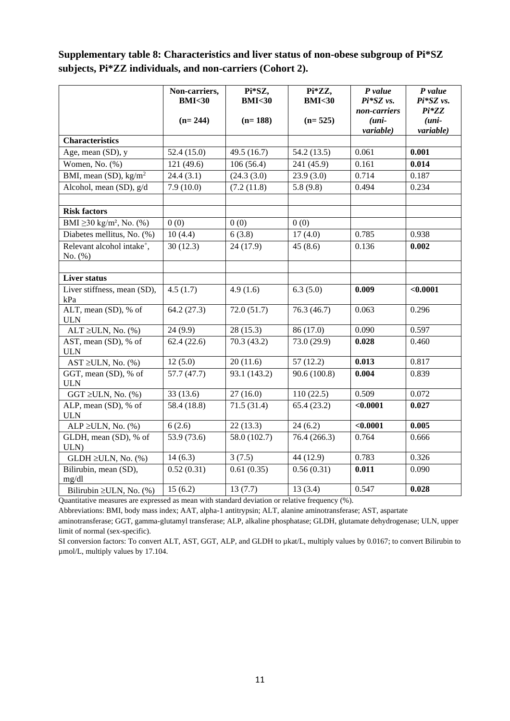**Supplementary table 8: Characteristics and liver status of non-obese subgroup of Pi\*SZ subjects, Pi\*ZZ individuals, and non-carriers (Cohort 2).**

|                                                       | Non-carriers,<br><b>BMI&lt;30</b> | Pi*SZ,<br><b>BMI&lt;30</b> | Pi*ZZ,<br><b>BMI&lt;30</b> | P value<br>Pi*SZ vs.<br>non-carriers | P value<br>Pi*SZ vs.<br>$Pi*ZZ$ |
|-------------------------------------------------------|-----------------------------------|----------------------------|----------------------------|--------------------------------------|---------------------------------|
|                                                       | $(n=244)$                         | $(n=188)$                  | $(n=525)$                  | $(uni-$<br>variable)                 | $(uni-$<br>variable)            |
| <b>Characteristics</b>                                |                                   |                            |                            |                                      |                                 |
| Age, mean (SD), y                                     | 52.4(15.0)                        | 49.5 (16.7)                | 54.2 (13.5)                | 0.061                                | 0.001                           |
| Women, No. (%)                                        | 121 (49.6)                        | 106(56.4)                  | 241 (45.9)                 | 0.161                                | 0.014                           |
| BMI, mean $(SD)$ , kg/m <sup>2</sup>                  | $\overline{24.4}$ (3.1)           | (24.3 (3.0)                | 23.9(3.0)                  | 0.714                                | 0.187                           |
| Alcohol, mean (SD), g/d                               | 7.9(10.0)                         | (7.2(11.8)                 | 5.8(9.8)                   | 0.494                                | 0.234                           |
| <b>Risk factors</b>                                   |                                   |                            |                            |                                      |                                 |
| BMI $\geq$ 30 kg/m <sup>2</sup> , No. (%)             | 0(0)                              | 0(0)                       | 0(0)                       |                                      |                                 |
| Diabetes mellitus, No. (%)                            | 10(4.4)                           | 6(3.8)                     | 17(4.0)                    | 0.785                                | 0.938                           |
| Relevant alcohol intake <sup>+</sup> ,<br>No. $(\% )$ | 30(12.3)                          | 24 (17.9)                  | 45(8.6)                    | 0.136                                | 0.002                           |
|                                                       |                                   |                            |                            |                                      |                                 |
| <b>Liver status</b>                                   |                                   |                            |                            |                                      |                                 |
| Liver stiffness, mean (SD),<br>kPa                    | 4.5(1.7)                          | 4.9(1.6)                   | 6.3(5.0)                   | 0.009                                | < 0.0001                        |
| ALT, mean (SD), % of<br><b>ULN</b>                    | 64.2(27.3)                        | 72.0(51.7)                 | 76.3(46.7)                 | 0.063                                | 0.296                           |
| $ALT \geq ULN$ , No. (%)                              | 24(9.9)                           | 28(15.3)                   | 86 (17.0)                  | 0.090                                | 0.597                           |
| AST, mean (SD), % of<br><b>ULN</b>                    | 62.4(22.6)                        | 70.3(43.2)                 | 73.0 (29.9)                | 0.028                                | 0.460                           |
| $AST \geq ULN$ , No. (%)                              | 12(5.0)                           | 20(11.6)                   | 57(12.2)                   | 0.013                                | 0.817                           |
| GGT, mean (SD), % of<br><b>ULN</b>                    | 57.7(47.7)                        | 93.1 (143.2)               | 90.6(100.8)                | 0.004                                | 0.839                           |
| $GGT \geq ULN$ , No. $(\%)$                           | 33(13.6)                          | 27(16.0)                   | 110(22.5)                  | 0.509                                | 0.072                           |
| ALP, mean (SD), % of<br><b>ULN</b>                    | 58.4 (18.8)                       | 71.5(31.4)                 | 65.4(23.2)                 | < 0.0001                             | 0.027                           |
| ALP $\geq$ ULN, No. (%)                               | 6(2.6)                            | 22(13.3)                   | 24(6.2)                    | < 0.0001                             | 0.005                           |
| GLDH, mean (SD), % of<br>ULN)                         | 53.9 (73.6)                       | 58.0 (102.7)               | 76.4(266.3)                | 0.764                                | 0.666                           |
| $GLDH \geq ULN$ , No. $(\% )$                         | 14(6.3)                           | 3(7.5)                     | 44 (12.9)                  | 0.783                                | 0.326                           |
| Bilirubin, mean (SD),<br>mg/dl                        | 0.52(0.31)                        | 0.61(0.35)                 | 0.56(0.31)                 | 0.011                                | 0.090                           |
| Bilirubin ≥ULN, No. (%)                               | 15(6.2)                           | 13(7.7)                    | 13(3.4)                    | 0.547                                | 0.028                           |

Quantitative measures are expressed as mean with standard deviation or relative frequency (%).

Abbreviations: BMI, body mass index; AAT, alpha-1 antitrypsin; ALT, alanine aminotransferase; AST, aspartate

aminotransferase; GGT, gamma-glutamyl transferase; ALP, alkaline phosphatase; GLDH, glutamate dehydrogenase; ULN, upper limit of normal (sex-specific).

SI conversion factors: To convert ALT, AST, GGT, ALP, and GLDH to µkat/L, multiply values by 0.0167; to convert Bilirubin to µmol/L, multiply values by 17.104.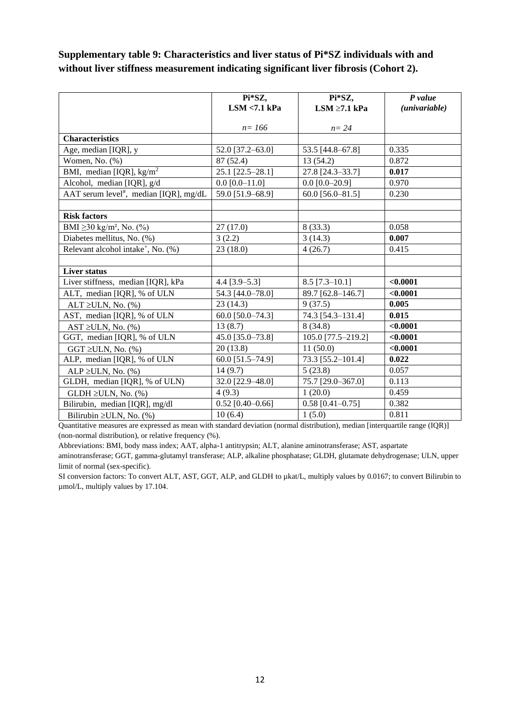**Supplementary table 9: Characteristics and liver status of Pi\*SZ individuals with and without liver stiffness measurement indicating significant liver fibrosis (Cohort 2).** 

|                                                | Pi*SZ,             | Pi*SZ,             | P value       |
|------------------------------------------------|--------------------|--------------------|---------------|
|                                                | $LSM < 7.1$ kPa    | $LSM \geq 7.1$ kPa | (univariable) |
|                                                |                    |                    |               |
|                                                | $n = 166$          | $n=24$             |               |
| <b>Characteristics</b>                         |                    |                    |               |
| Age, median [IQR], y                           | 52.0 [37.2-63.0]   | 53.5 [44.8-67.8]   | 0.335         |
| Women, No. (%)                                 | 87 (52.4)          | 13 (54.2)          | 0.872         |
| BMI, median [IQR], $\text{kg/m}^2$             | 25.1 [22.5-28.1]   | 27.8 [24.3-33.7]   | 0.017         |
| Alcohol, median [IQR], g/d                     | $0.0$ [0.0-11.0]   | $0.0$ [0.0-20.9]   | 0.970         |
| AAT serum level#, median [IQR], mg/dL          | 59.0 [51.9-68.9]   | $60.0$ [56.0-81.5] | 0.230         |
|                                                |                    |                    |               |
| <b>Risk factors</b>                            |                    |                    |               |
| BMI $\geq$ 30 kg/m <sup>2</sup> , No. (%)      | 27(17.0)           | 8(33.3)            | 0.058         |
| Diabetes mellitus, No. (%)                     | 3(2.2)             | 3(14.3)            | 0.007         |
| Relevant alcohol intake <sup>+</sup> , No. (%) | 23(18.0)           | 4(26.7)            | 0.415         |
|                                                |                    |                    |               |
| <b>Liver status</b>                            |                    |                    |               |
| Liver stiffness, median [IQR], kPa             | $4.4$ [3.9-5.3]    | $8.5$ [7.3-10.1]   | < 0.0001      |
| ALT, median [IQR], % of ULN                    | 54.3 [44.0-78.0]   | 89.7 [62.8-146.7]  | < 0.0001      |
| $ALT \geq ULN$ , No. $(\%)$                    | 23(14.3)           | 9(37.5)            | 0.005         |
| AST, median [IQR], % of ULN                    | 60.0 [50.0-74.3]   | 74.3 [54.3-131.4]  | 0.015         |
| $AST \geq ULN$ , No. (%)                       | 13(8.7)            | 8(34.8)            | < 0.0001      |
| GGT, median [IQR], % of ULN                    | 45.0 [35.0-73.8]   | 105.0 [77.5-219.2] | < 0.0001      |
| $GGT \geq ULN$ , No. $(\%)$                    | 20(13.8)           | 11(50.0)           | < 0.0001      |
| ALP, median [IQR], % of ULN                    | 60.0 [51.5-74.9]   | 73.3 [55.2-101.4]  | 0.022         |
| ALP $\geq$ ULN, No. (%)                        | 14(9.7)            | 5(23.8)            | 0.057         |
| GLDH, median [IQR], % of ULN)                  | 32.0 [22.9-48.0]   | 75.7 [29.0-367.0]  | 0.113         |
| $GLDH \geq ULN$ , No. $(\%)$                   | 4(9.3)             | 1(20.0)            | 0.459         |
| Bilirubin, median [IQR], mg/dl                 | $0.52$ [0.40-0.66] | $0.58$ [0.41-0.75] | 0.382         |
| Bilirubin $\geq$ ULN, No. (%)                  | 10(6.4)            | 1(5.0)             | 0.811         |

Quantitative measures are expressed as mean with standard deviation (normal distribution), median [interquartile range (IQR)] (non-normal distribution), or relative frequency (%).

Abbreviations: BMI, body mass index; AAT, alpha-1 antitrypsin; ALT, alanine aminotransferase; AST, aspartate

aminotransferase; GGT, gamma-glutamyl transferase; ALP, alkaline phosphatase; GLDH, glutamate dehydrogenase; ULN, upper limit of normal (sex-specific).

SI conversion factors: To convert ALT, AST, GGT, ALP, and GLDH to µkat/L, multiply values by 0.0167; to convert Bilirubin to µmol/L, multiply values by 17.104.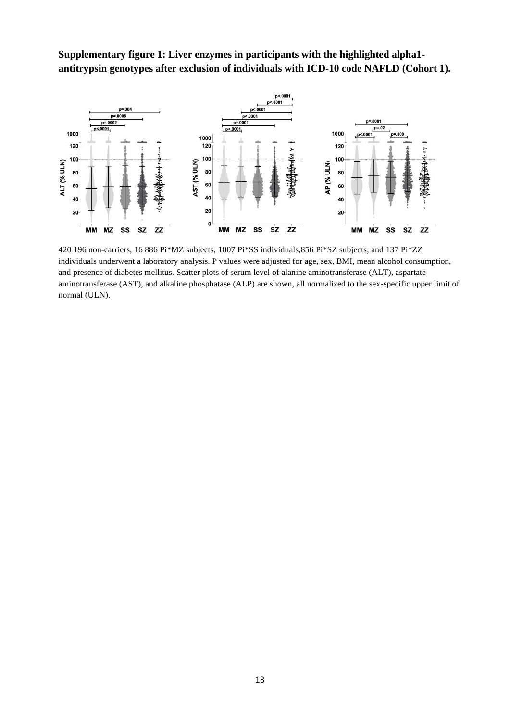p<.0001  $p = 0.00$ ,000.>a  $p=.0008$ p<.000  $p=.0002$  $p=.0001$  $p = 0001$  $.$   $p < 0001$  $n < 0001$ p=. 1000 1000 r non 1000 120 120  $120$ 100 100 100 AST (% ULN) ALT (% ULN) AP (% ULN) 80 80 80 60 60 60 40 40 40 20 20 20  $\mathbf{0}$ SS **MM**  $MZ$  $\overline{\text{s}}$ s sz ZZ MZ  $\overline{z}$ **MM MZ** sz **ZZ MM**  $ss$ **SZ** 

**Supplementary figure 1: Liver enzymes in participants with the highlighted alpha1 antitrypsin genotypes after exclusion of individuals with ICD-10 code NAFLD (Cohort 1).**

420 196 non-carriers, 16 886 Pi\*MZ subjects, 1007 Pi\*SS individuals,856 Pi\*SZ subjects, and 137 Pi\*ZZ individuals underwent a laboratory analysis. P values were adjusted for age, sex, BMI, mean alcohol consumption, and presence of diabetes mellitus. Scatter plots of serum level of alanine aminotransferase (ALT), aspartate aminotransferase (AST), and alkaline phosphatase (ALP) are shown, all normalized to the sex-specific upper limit of normal (ULN).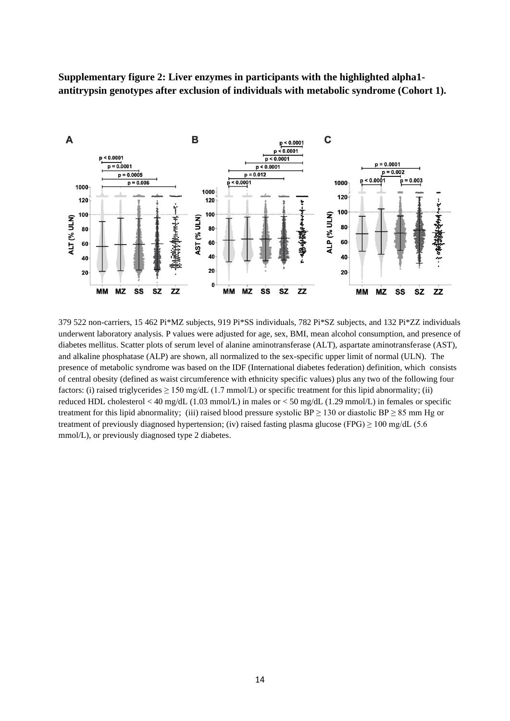**Supplementary figure 2: Liver enzymes in participants with the highlighted alpha1 antitrypsin genotypes after exclusion of individuals with metabolic syndrome (Cohort 1).**



379 522 non-carriers, 15 462 Pi\*MZ subjects, 919 Pi\*SS individuals, 782 Pi\*SZ subjects, and 132 Pi\*ZZ individuals underwent laboratory analysis. P values were adjusted for age, sex, BMI, mean alcohol consumption, and presence of diabetes mellitus. Scatter plots of serum level of alanine aminotransferase (ALT), aspartate aminotransferase (AST), and alkaline phosphatase (ALP) are shown, all normalized to the sex-specific upper limit of normal (ULN). The presence of metabolic syndrome was based on the IDF (International diabetes federation) definition, which consists of central obesity (defined as waist circumference with ethnicity specific values) plus any two of the following four factors: (i) raised triglycerides  $\geq 150 \text{ mg/dL}$  (1.7 mmol/L) or specific treatment for this lipid abnormality; (ii) reduced HDL cholesterol < 40 mg/dL (1.03 mmol/L) in males or < 50 mg/dL (1.29 mmol/L) in females or specific treatment for this lipid abnormality; (iii) raised blood pressure systolic BP  $\geq$  130 or diastolic BP  $\geq$  85 mm Hg or treatment of previously diagnosed hypertension; (iv) raised fasting plasma glucose (FPG)  $\geq 100$  mg/dL (5.6) mmol/L), or previously diagnosed type 2 diabetes.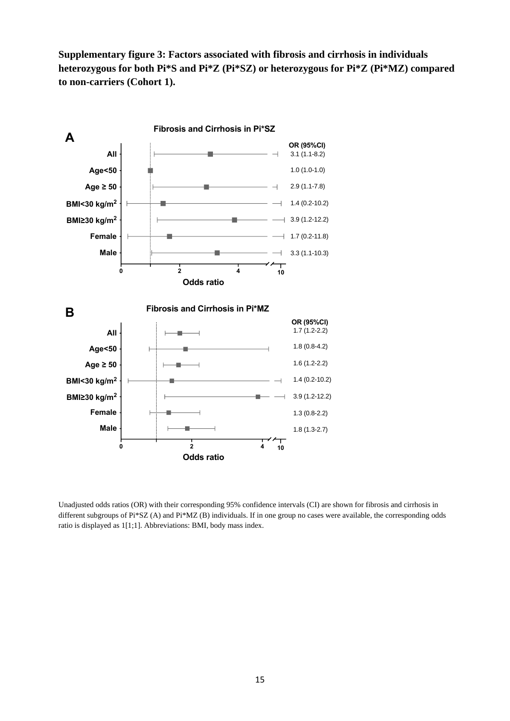**Supplementary figure 3: Factors associated with fibrosis and cirrhosis in individuals heterozygous for both Pi\*S and Pi\*Z (Pi\*SZ) or heterozygous for Pi\*Z (Pi\*MZ) compared to non-carriers (Cohort 1).**



Unadjusted odds ratios (OR) with their corresponding 95% confidence intervals (CI) are shown for fibrosis and cirrhosis in different subgroups of Pi\*SZ (A) and Pi\*MZ (B) individuals. If in one group no cases were available, the corresponding odds ratio is displayed as 1[1;1]. Abbreviations: BMI, body mass index.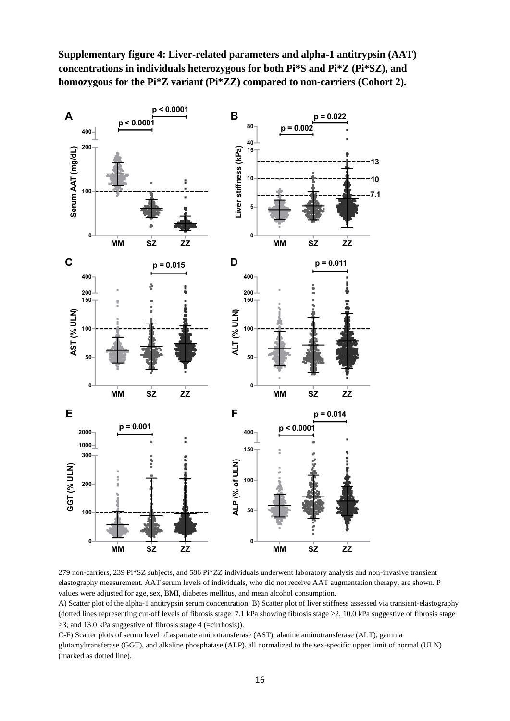

**Supplementary figure 4: Liver-related parameters and alpha-1 antitrypsin (AAT) concentrations in individuals heterozygous for both Pi\*S and Pi\*Z (Pi\*SZ), and homozygous for the Pi\*Z variant (Pi\*ZZ) compared to non-carriers (Cohort 2).**

279 non-carriers, 239 Pi\*SZ subjects, and 586 Pi\*ZZ individuals underwent laboratory analysis and non-invasive transient elastography measurement. AAT serum levels of individuals, who did not receive AAT augmentation therapy, are shown. P values were adjusted for age, sex, BMI, diabetes mellitus, and mean alcohol consumption.

A) Scatter plot of the alpha-1 antitrypsin serum concentration. B) Scatter plot of liver stiffness assessed via transient-elastography (dotted lines representing cut-off levels of fibrosis stage: 7.1 kPa showing fibrosis stage  $\geq 2$ , 10.0 kPa suggestive of fibrosis stage  $\geq$ 3, and 13.0 kPa suggestive of fibrosis stage 4 (=cirrhosis)).

C-F) Scatter plots of serum level of aspartate aminotransferase (AST), alanine aminotransferase (ALT), gamma glutamyltransferase (GGT), and alkaline phosphatase (ALP), all normalized to the sex-specific upper limit of normal (ULN) (marked as dotted line).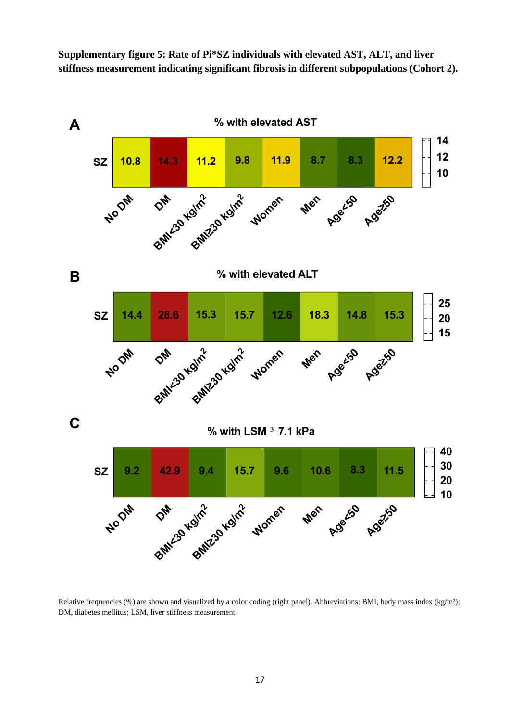**Supplementary figure 5: Rate of Pi\*SZ individuals with elevated AST, ALT, and liver stiffness measurement indicating significant fibrosis in different subpopulations (Cohort 2).**



Relative frequencies (%) are shown and visualized by a color coding (right panel). Abbreviations: BMI, body mass index (kg/m<sup>2</sup>); DM, diabetes mellitus; LSM, liver stiffness measurement.